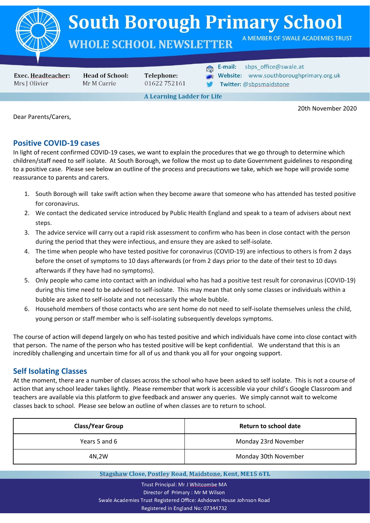

# **South Borough Primary School**

## **WHOLE SCHOOL NEWSLETTER**

**Exec. Headteacher:** Mrs J Olivier

**Head of School:** Mr M Currie

Telephone: 01622752161 E-mail:

sbps\_office@swale.at

A MEMBER OF SWALE ACADEMIES TRUST

- Website: www.southboroughprimary.org.uk
- Twitter: @sbpsmaidstone

**A Learning Ladder for Life** 

20th November 2020

Dear Parents/Carers,

### **Positive COVID-19 cases**

In light of recent confirmed COVID-19 cases, we want to explain the procedures that we go through to determine which children/staff need to self isolate. At South Borough, we follow the most up to date Government guidelines to responding to a positive case. Please see below an outline of the process and precautions we take, which we hope will provide some reassurance to parents and carers.

- 1. South Borough will take swift action when they become aware that someone who has attended has tested positive for coronavirus.
- 2. We contact the dedicated service introduced by Public Health England and speak to a team of advisers about next steps.
- 3. The advice service will carry out a rapid risk assessment to confirm who has been in close contact with the person during the period that they were infectious, and ensure they are asked to self-isolate.
- 4. The time when people who have tested positive for coronavirus (COVID-19) are infectious to others is from 2 days before the onset of symptoms to 10 days afterwards (or from 2 days prior to the date of their test to 10 days afterwards if they have had no symptoms).
- 5. Only people who came into contact with an individual who has had a positive test result for coronavirus (COVID-19) during this time need to be advised to self-isolate. This may mean that only some classes or individuals within a bubble are asked to self-isolate and not necessarily the whole bubble.
- 6. Household members of those contacts who are sent home do not need to self-isolate themselves unless the child, young person or staff member who is self-isolating subsequently develops symptoms.

The course of action will depend largely on who has tested positive and which individuals have come into close contact with that person. The name of the person who has tested positive will be kept confidential. We understand that this is an incredibly challenging and uncertain time for all of us and thank you all for your ongoing support.

### **Self Isolating Classes**

At the moment, there are a number of classes across the school who have been asked to self isolate. This is not a course of action that any school leader takes lightly. Please remember that work is accessible via your child's Google Classroom and teachers are available via this platform to give feedback and answer any queries. We simply cannot wait to welcome classes back to school. Please see below an outline of when classes are to return to school.

| <b>Class/Year Group</b> | Return to school date |
|-------------------------|-----------------------|
| Years 5 and 6           | Monday 23rd November  |
| 4N,2W                   | Monday 30th November  |

Stagshaw Close, Postley Road, Maidstone, Kent, ME15 6TL

Trust Principal: Mr J Whitcombe MA Director of Primary: Mr M Wilson Swale Academies Trust Registered Office: Ashdown House Johnson Road Registered in England No: 07344732